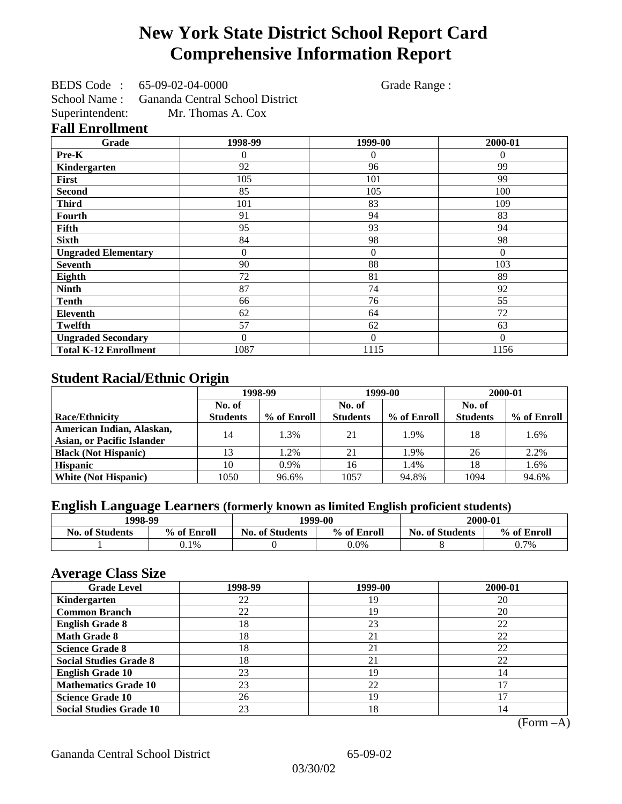## **New York State District School Report Card Comprehensive Information Report**

BEDS Code : 65-09-02-04-0000 Grade Range :

School Name : Gananda Central School District Superintendent: Mr. Thomas A. Cox

### **Fall Enrollment**

| Grade                        | 1998-99        | 1999-00        | 2000-01  |
|------------------------------|----------------|----------------|----------|
| Pre-K                        | $\overline{0}$ | $\overline{0}$ | $\theta$ |
| Kindergarten                 | 92             | 96             | 99       |
| First                        | 105            | 101            | 99       |
| <b>Second</b>                | 85             | 105            | 100      |
| <b>Third</b>                 | 101            | 83             | 109      |
| Fourth                       | 91             | 94             | 83       |
| Fifth                        | 95             | 93             | 94       |
| <b>Sixth</b>                 | 84             | 98             | 98       |
| <b>Ungraded Elementary</b>   | 0              | $\overline{0}$ | $\Omega$ |
| <b>Seventh</b>               | 90             | 88             | 103      |
| Eighth                       | 72             | 81             | 89       |
| <b>Ninth</b>                 | 87             | 74             | 92       |
| <b>Tenth</b>                 | 66             | 76             | 55       |
| Eleventh                     | 62             | 64             | 72       |
| <b>Twelfth</b>               | 57             | 62             | 63       |
| <b>Ungraded Secondary</b>    | $\Omega$       | $\overline{0}$ | $\Omega$ |
| <b>Total K-12 Enrollment</b> | 1087           | 1115           | 1156     |

## **Student Racial/Ethnic Origin**

|                                   | 1998-99         |             |                 | 1999-00     | 2000-01         |             |
|-----------------------------------|-----------------|-------------|-----------------|-------------|-----------------|-------------|
|                                   | No. of          |             | No. of          |             | No. of          |             |
| <b>Race/Ethnicity</b>             | <b>Students</b> | % of Enroll | <b>Students</b> | % of Enroll | <b>Students</b> | % of Enroll |
| American Indian, Alaskan,         | 14              | 1.3%        | 21              | 1.9%        | 18              | 1.6%        |
| <b>Asian, or Pacific Islander</b> |                 |             |                 |             |                 |             |
| <b>Black (Not Hispanic)</b>       |                 | 1.2%        | 21              | 1.9%        | 26              | 2.2%        |
| <b>Hispanic</b>                   | 10              | $0.9\%$     | 16              | 1.4%        | 18              | 1.6%        |
| <b>White (Not Hispanic)</b>       | 1050            | 96.6%       | 1057            | 94.8%       | 1094            | 94.6%       |

### **English Language Learners (formerly known as limited English proficient students)**

|                        | 1998-99     |                        | 1999-00     | 2000-01                |             |
|------------------------|-------------|------------------------|-------------|------------------------|-------------|
| <b>No. of Students</b> | % of Enroll | <b>No. of Students</b> | % of Enroll | <b>No. of Students</b> | % of Enroll |
|                        | 0.1%        |                        | $0.0\%$     |                        | 0.7%        |

#### **Average Class Size**

| ---- <del>.</del> -<br><b>Grade Level</b> | 1998-99 | 1999-00 | 2000-01 |
|-------------------------------------------|---------|---------|---------|
| Kindergarten                              | 22      | 19      | 20      |
| <b>Common Branch</b>                      | 22      | 19      | 20      |
| <b>English Grade 8</b>                    | 18      | 23      | 22      |
| <b>Math Grade 8</b>                       | 18      | 21      | 22      |
| <b>Science Grade 8</b>                    | 18      | 21      | 22      |
| <b>Social Studies Grade 8</b>             | 18      | 21      | 22      |
| <b>English Grade 10</b>                   | 23      | 19      | 14      |
| <b>Mathematics Grade 10</b>               | 23      | 22      |         |
| <b>Science Grade 10</b>                   | 26      | 19      | רו      |
| <b>Social Studies Grade 10</b>            | 23      | 18      | 14      |

(Form –A)

Gananda Central School District 65-09-02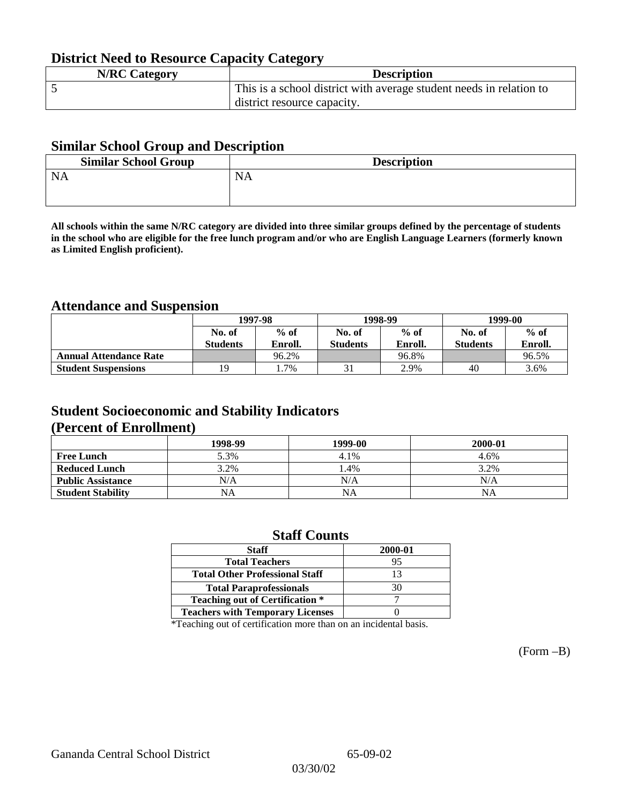## **District Need to Resource Capacity Category**

| <b>N/RC Category</b> | <b>Description</b>                                                  |
|----------------------|---------------------------------------------------------------------|
|                      | This is a school district with average student needs in relation to |
|                      | district resource capacity.                                         |

### **Similar School Group and Description**

| <b>Similar School Group</b> | <b>Description</b> |
|-----------------------------|--------------------|
| <b>NA</b>                   | <b>NA</b>          |
|                             |                    |

**All schools within the same N/RC category are divided into three similar groups defined by the percentage of students in the school who are eligible for the free lunch program and/or who are English Language Learners (formerly known as Limited English proficient).**

### **Attendance and Suspension**

|                               | 1997-98          |         |                 | 1998-99 | 1999-00         |         |
|-------------------------------|------------------|---------|-----------------|---------|-----------------|---------|
|                               | $%$ of<br>No. of |         | No. of          | $%$ of  | No. of          | $%$ of  |
|                               | <b>Students</b>  | Enroll. | <b>Students</b> | Enroll. | <b>Students</b> | Enroll. |
| <b>Annual Attendance Rate</b> |                  | 96.2%   |                 | 96.8%   |                 | 96.5%   |
| <b>Student Suspensions</b>    | 19               | $.7\%$  |                 | 2.9%    | 40              | 3.6%    |

### **Student Socioeconomic and Stability Indicators (Percent of Enrollment)**

|                          | 1998-99 | 1999-00   | 2000-01 |
|--------------------------|---------|-----------|---------|
| <b>Free Lunch</b>        | 5.3%    | 4.1%      | 4.6%    |
| <b>Reduced Lunch</b>     | 3.2%    | 1.4%      | 3.2%    |
| <b>Public Assistance</b> | N/A     | N/A       | N/A     |
| <b>Student Stability</b> | NA      | <b>NA</b> | NA      |

#### **Staff Counts**

| <b>Staff</b>                            | 2000-01 |
|-----------------------------------------|---------|
| <b>Total Teachers</b>                   | 95      |
| <b>Total Other Professional Staff</b>   | 13      |
| <b>Total Paraprofessionals</b>          | 30      |
| <b>Teaching out of Certification *</b>  |         |
| <b>Teachers with Temporary Licenses</b> |         |

\*Teaching out of certification more than on an incidental basis.

(Form –B)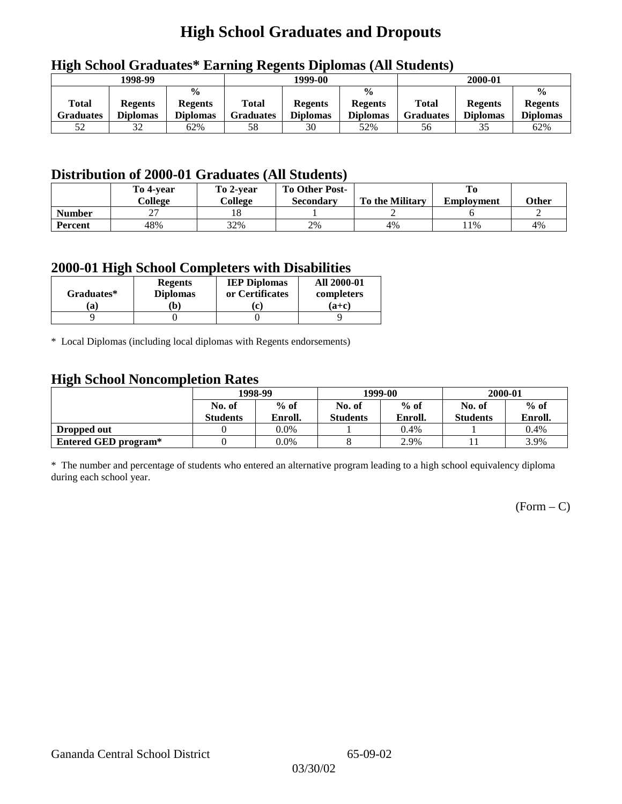## **High School Graduates and Dropouts**

|                           | 1998-99                           |                                                    | 1999-00            |                                   |                                                    |                                  | 2000-01                           |                                                    |
|---------------------------|-----------------------------------|----------------------------------------------------|--------------------|-----------------------------------|----------------------------------------------------|----------------------------------|-----------------------------------|----------------------------------------------------|
| <b>Total</b><br>Graduates | <b>Regents</b><br><b>Diplomas</b> | $\frac{0}{0}$<br><b>Regents</b><br><b>Diplomas</b> | Total<br>Graduates | <b>Regents</b><br><b>Diplomas</b> | $\frac{0}{0}$<br><b>Regents</b><br><b>Diplomas</b> | <b>Total</b><br><b>Graduates</b> | <b>Regents</b><br><b>Diplomas</b> | $\frac{0}{0}$<br><b>Regents</b><br><b>Diplomas</b> |
| 52                        | 32                                | 62%                                                | 58                 | 30                                | 52%                                                | 56                               | 35                                | 62%                                                |

## **High School Graduates\* Earning Regents Diplomas (All Students)**

## **Distribution of 2000-01 Graduates (All Students)**

|               | To 4-vear | To 2-year | <b>To Other Post-</b> |                        |                   |       |
|---------------|-----------|-----------|-----------------------|------------------------|-------------------|-------|
|               | College   | College   | Secondary             | <b>To the Military</b> | <b>Employment</b> | Other |
| <b>Number</b> | ^^<br>، ت | 10        |                       |                        |                   |       |
| Percent       | 48%       | 32%       | 2%                    | 4%                     | 11%               | 4%    |

#### **2000-01 High School Completers with Disabilities**

| Graduates* | <b>Regents</b><br><b>Diplomas</b> | <b>IEP Diplomas</b><br>or Certificates | <b>All 2000-01</b><br>completers |
|------------|-----------------------------------|----------------------------------------|----------------------------------|
| 'ai        | $\mathbf{b}$                      | $ {\bf c} $                            | $(a+c)$                          |
|            |                                   |                                        |                                  |

\* Local Diplomas (including local diplomas with Regents endorsements)

### **High School Noncompletion Rates**

| ັ                    | 1998-99         |         |                 | 1999-00 | 2000-01         |         |
|----------------------|-----------------|---------|-----------------|---------|-----------------|---------|
|                      | No. of          | $%$ of  | No. of          | $%$ of  | No. of          | $%$ of  |
|                      | <b>Students</b> | Enroll. | <b>Students</b> | Enroll. | <b>Students</b> | Enroll. |
| Dropped out          |                 | $0.0\%$ |                 | 0.4%    |                 | 0.4%    |
| Entered GED program* |                 | $0.0\%$ |                 | 2.9%    |                 | 3.9%    |

\* The number and percentage of students who entered an alternative program leading to a high school equivalency diploma during each school year.

 $(Form - C)$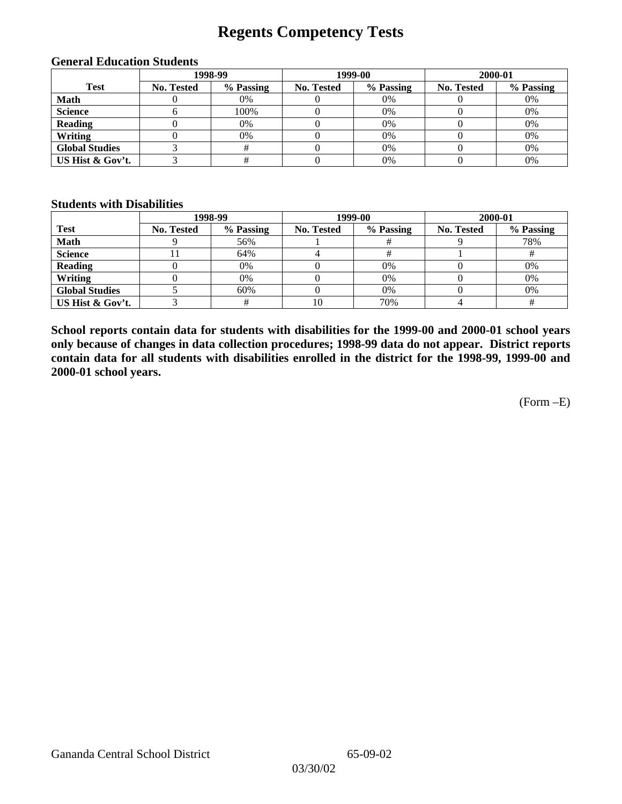## **Regents Competency Tests**

|                       |            | 1998-99   |            | 1999-00   | 2000-01           |           |  |
|-----------------------|------------|-----------|------------|-----------|-------------------|-----------|--|
| <b>Test</b>           | No. Tested | % Passing | No. Tested | % Passing | <b>No. Tested</b> | % Passing |  |
| <b>Math</b>           |            | 0%        |            | $0\%$     |                   | 0%        |  |
| <b>Science</b>        |            | 100%      |            | 0%        |                   | 0%        |  |
| <b>Reading</b>        |            | 0%        |            | 0%        |                   | 0%        |  |
| Writing               |            | 0%        |            | $0\%$     |                   | 0%        |  |
| <b>Global Studies</b> |            |           |            | $0\%$     |                   | 0%        |  |
| US Hist & Gov't.      |            |           |            | 0%        |                   | 0%        |  |

#### **General Education Students**

#### **Students with Disabilities**

|                       |            | 1998-99   |            | 1999-00   | 2000-01    |           |
|-----------------------|------------|-----------|------------|-----------|------------|-----------|
| <b>Test</b>           | No. Tested | % Passing | No. Tested | % Passing | No. Tested | % Passing |
| <b>Math</b>           |            | 56%       |            |           |            | 78%       |
| <b>Science</b>        |            | 64%       |            |           |            |           |
| <b>Reading</b>        |            | 0%        |            | 0%        |            | 0%        |
| Writing               |            | 0%        |            | 0%        |            | 0%        |
| <b>Global Studies</b> |            | 60%       |            | $0\%$     |            | 0%        |
| US Hist & Gov't.      |            |           | 10         | 70%       |            |           |

**School reports contain data for students with disabilities for the 1999-00 and 2000-01 school years only because of changes in data collection procedures; 1998-99 data do not appear. District reports contain data for all students with disabilities enrolled in the district for the 1998-99, 1999-00 and 2000-01 school years.**

(Form –E)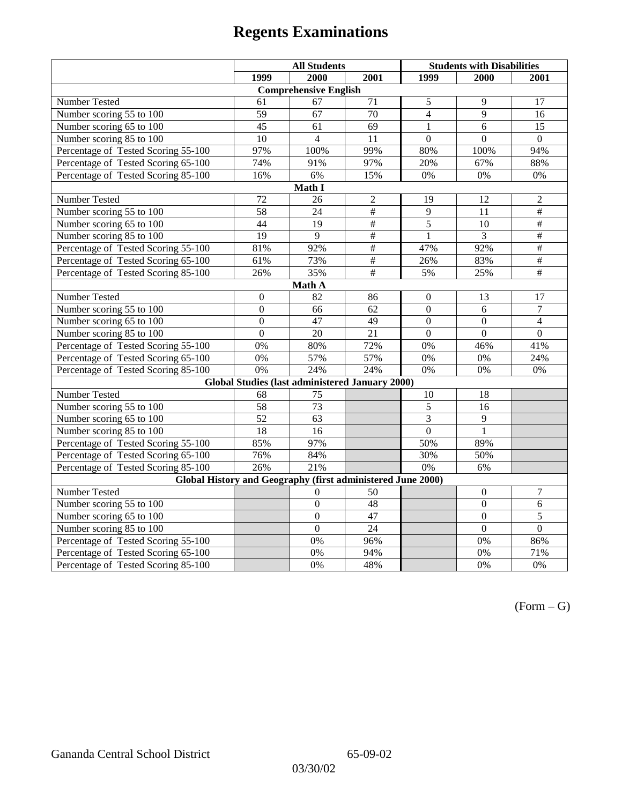|                                               | <b>All Students</b>                                         |                                                        |                 | <b>Students with Disabilities</b> |                |                          |  |  |
|-----------------------------------------------|-------------------------------------------------------------|--------------------------------------------------------|-----------------|-----------------------------------|----------------|--------------------------|--|--|
|                                               | 1999                                                        | 2000                                                   | 2001            | 1999                              | 2000           | 2001                     |  |  |
|                                               |                                                             | <b>Comprehensive English</b>                           |                 |                                   |                |                          |  |  |
| Number Tested                                 | 61                                                          | 67                                                     | 71              | 5                                 | 9              | 17                       |  |  |
| Number scoring $55 \overline{\text{to } 100}$ | 59                                                          | 67                                                     | $\overline{70}$ | $\overline{4}$                    | $\overline{9}$ | 16                       |  |  |
| Number scoring 65 to 100                      | 45                                                          | 61                                                     | 69              | $\mathbf{1}$                      | 6              | 15                       |  |  |
| Number scoring 85 to 100                      | 10                                                          | $\overline{4}$                                         | 11              | $\theta$                          | $\Omega$       | $\Omega$                 |  |  |
| Percentage of Tested Scoring 55-100           | 97%                                                         | 100%                                                   | 99%             | 80%                               | 100%           | 94%                      |  |  |
| Percentage of Tested Scoring 65-100           | 74%                                                         | 91%                                                    | 97%             | 20%                               | 67%            | 88%                      |  |  |
| Percentage of Tested Scoring 85-100           | 16%                                                         | 6%                                                     | 15%             | 0%                                | 0%             | 0%                       |  |  |
|                                               |                                                             | Math I                                                 |                 |                                   |                |                          |  |  |
| Number Tested                                 | 72                                                          | 26                                                     | $\sqrt{2}$      | 19                                | 12             | $\sqrt{2}$               |  |  |
| Number scoring 55 to 100                      | $\overline{58}$                                             | $\overline{24}$                                        | $\overline{\#}$ | $\overline{9}$                    | 11             | $\overline{+}$           |  |  |
| Number scoring 65 to 100                      | 44                                                          | 19                                                     | $\overline{\#}$ | 5                                 | 10             | $\#$                     |  |  |
| Number scoring 85 to 100                      | 19                                                          | 9                                                      | $\overline{\#}$ | $\mathbf{1}$                      | 3              | $\overline{\overline{}}$ |  |  |
| Percentage of Tested Scoring 55-100           | 81%                                                         | 92%                                                    | #               | 47%                               | 92%            | $\overline{\#}$          |  |  |
| Percentage of Tested Scoring 65-100           | 61%                                                         | 73%                                                    | $\frac{1}{2}$   | 26%                               | 83%            | #                        |  |  |
| Percentage of Tested Scoring 85-100           | 26%                                                         | 35%                                                    | $\#$            | 5%                                | 25%            | $\overline{+}$           |  |  |
|                                               |                                                             | Math A                                                 |                 |                                   |                |                          |  |  |
| Number Tested                                 | $\boldsymbol{0}$                                            | 82                                                     | 86              | $\boldsymbol{0}$                  | 13             | 17                       |  |  |
| Number scoring $5\overline{5}$ to $100$       | $\mathbf{0}$                                                | 66                                                     | 62              | $\overline{0}$                    | 6              | $\overline{7}$           |  |  |
| Number scoring 65 to 100                      | $\mathbf{0}$                                                | 47                                                     | 49              | $\mathbf{0}$                      | $\mathbf{0}$   | $\overline{4}$           |  |  |
| Number scoring 85 to 100                      | $\overline{0}$                                              | 20                                                     | 21              | $\overline{0}$                    | $\mathbf{0}$   | $\mathbf{0}$             |  |  |
| Percentage of Tested Scoring 55-100           | 0%                                                          | 80%                                                    | 72%             | 0%                                | 46%            | 41%                      |  |  |
| Percentage of Tested Scoring 65-100           | 0%                                                          | 57%                                                    | 57%             | 0%                                | 0%             | 24%                      |  |  |
| Percentage of Tested Scoring 85-100           | 0%                                                          | 24%                                                    | 24%             | 0%                                | 0%             | 0%                       |  |  |
|                                               |                                                             | <b>Global Studies (last administered January 2000)</b> |                 |                                   |                |                          |  |  |
| Number Tested                                 | 68                                                          | 75                                                     |                 | 10                                | 18             |                          |  |  |
| Number scoring 55 to 100                      | 58                                                          | $\overline{73}$                                        |                 | 5                                 | 16             |                          |  |  |
| Number scoring 65 to 100                      | $\overline{52}$                                             | 63                                                     |                 | 3                                 | $\overline{9}$ |                          |  |  |
| Number scoring 85 to 100                      | 18                                                          | 16                                                     |                 | $\overline{0}$                    | 1              |                          |  |  |
| Percentage of Tested Scoring 55-100           | 85%                                                         | 97%                                                    |                 | 50%                               | 89%            |                          |  |  |
| Percentage of Tested Scoring 65-100           | 76%                                                         | 84%                                                    |                 | 30%                               | 50%            |                          |  |  |
| Percentage of Tested Scoring 85-100           | 26%                                                         | 21%                                                    |                 | 0%                                | 6%             |                          |  |  |
|                                               | Global History and Geography (first administered June 2000) |                                                        |                 |                                   |                |                          |  |  |
| Number Tested                                 |                                                             | $\theta$                                               | 50              |                                   | $\mathbf{0}$   | $\tau$                   |  |  |
| Number scoring 55 to 100                      |                                                             | $\boldsymbol{0}$                                       | 48              |                                   | $\mathbf{0}$   | 6                        |  |  |
| Number scoring 65 to 100                      |                                                             | $\overline{0}$                                         | 47              |                                   | $\overline{0}$ | $\overline{5}$           |  |  |
| Number scoring 85 to 100                      |                                                             | $\overline{0}$                                         | $\overline{24}$ |                                   | $\overline{0}$ | $\theta$                 |  |  |
| Percentage of Tested Scoring 55-100           |                                                             | 0%                                                     | 96%             |                                   | 0%             | 86%                      |  |  |
| Percentage of Tested Scoring 65-100           |                                                             | 0%                                                     | 94%             |                                   | $0\%$          | 71%                      |  |  |
| Percentage of Tested Scoring 85-100           |                                                             | 0%                                                     | 48%             |                                   | 0%             | 0%                       |  |  |

 $(Form - G)$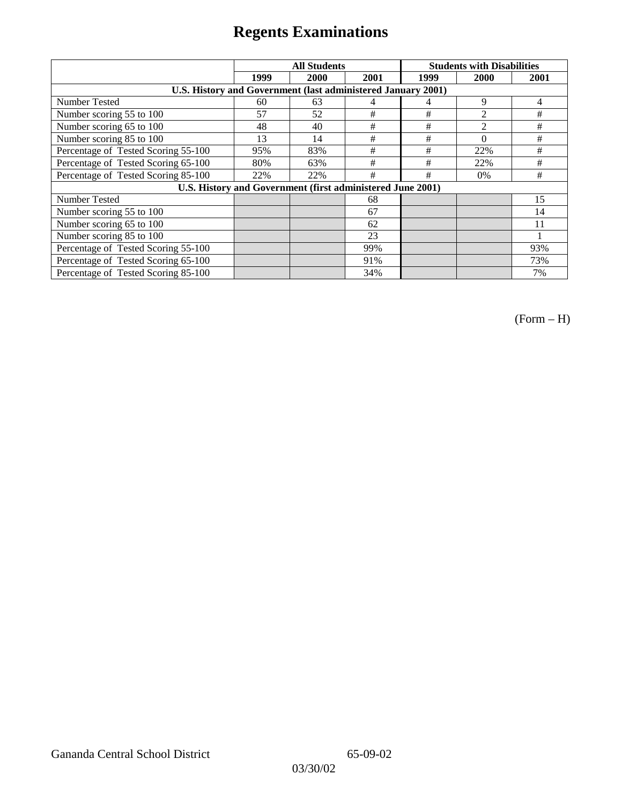|                                                              | <b>All Students</b> |                                                            |      | <b>Students with Disabilities</b> |                |      |
|--------------------------------------------------------------|---------------------|------------------------------------------------------------|------|-----------------------------------|----------------|------|
|                                                              | 1999                | 2000                                                       | 2001 | 1999                              | 2000           | 2001 |
| U.S. History and Government (last administered January 2001) |                     |                                                            |      |                                   |                |      |
| Number Tested                                                | 60                  | 63                                                         | 4    | 4                                 | 9              | 4    |
| Number scoring 55 to 100                                     | 57                  | 52                                                         | #    | #                                 | 2              | #    |
| Number scoring 65 to 100                                     | 48                  | 40                                                         | $\#$ | $\#$                              | $\overline{2}$ | #    |
| Number scoring 85 to 100                                     | 13                  | 14                                                         | $\#$ | $\#$                              | $\Omega$       | #    |
| Percentage of Tested Scoring 55-100                          | 95%                 | 83%                                                        | #    | #                                 | 22%            | #    |
| Percentage of Tested Scoring 65-100                          | 80%                 | 63%                                                        | #    | #                                 | 22%            | #    |
| Percentage of Tested Scoring 85-100                          | 22%                 | 22%                                                        | #    | #                                 | 0%             | #    |
|                                                              |                     | U.S. History and Government (first administered June 2001) |      |                                   |                |      |
| Number Tested                                                |                     |                                                            | 68   |                                   |                | 15   |
| Number scoring 55 to 100                                     |                     |                                                            | 67   |                                   |                | 14   |
| Number scoring 65 to 100                                     |                     |                                                            | 62   |                                   |                | 11   |
| Number scoring 85 to 100                                     |                     |                                                            | 23   |                                   |                |      |
| Percentage of Tested Scoring 55-100                          |                     |                                                            | 99%  |                                   |                | 93%  |
| Percentage of Tested Scoring 65-100                          |                     |                                                            | 91%  |                                   |                | 73%  |
| Percentage of Tested Scoring 85-100                          |                     |                                                            | 34%  |                                   |                | 7%   |

(Form – H)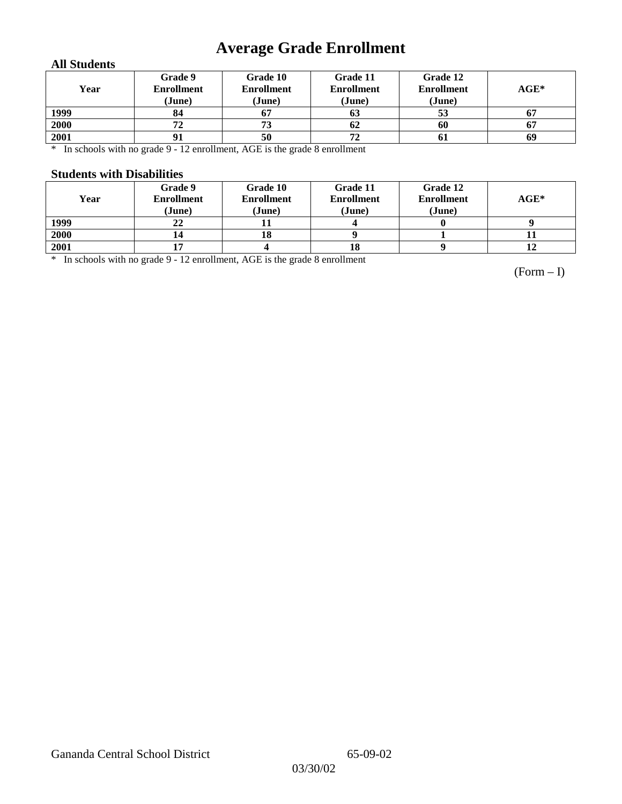## **Average Grade Enrollment**

#### **All Students**

| Year | Grade 9<br><b>Enrollment</b><br>(June) | Grade 10<br><b>Enrollment</b><br>(June) | Grade 11<br><b>Enrollment</b><br>(June) | Grade 12<br><b>Enrollment</b><br>(June) | $AGE^*$ |
|------|----------------------------------------|-----------------------------------------|-----------------------------------------|-----------------------------------------|---------|
| 1999 | 84                                     | 67                                      | 63                                      | 53                                      | 67      |
| 2000 | 72                                     | 73                                      | 62                                      | 60                                      | 67      |
| 2001 | 91                                     | 50                                      | 72                                      | -61                                     | 69      |

\* In schools with no grade 9 - 12 enrollment, AGE is the grade 8 enrollment

#### **Students with Disabilities**

| Year | Grade 9<br><b>Enrollment</b><br>(June) | Grade 10<br><b>Enrollment</b><br>(June) | Grade 11<br><b>Enrollment</b><br>(June) | Grade 12<br><b>Enrollment</b><br>(June) | $AGE*$ |
|------|----------------------------------------|-----------------------------------------|-----------------------------------------|-----------------------------------------|--------|
| 1999 | 22                                     |                                         |                                         |                                         |        |
| 2000 | 14                                     | 19                                      |                                         |                                         | п      |
| 2001 |                                        |                                         | 18                                      |                                         | 12     |

\* In schools with no grade 9 - 12 enrollment, AGE is the grade 8 enrollment

(Form – I)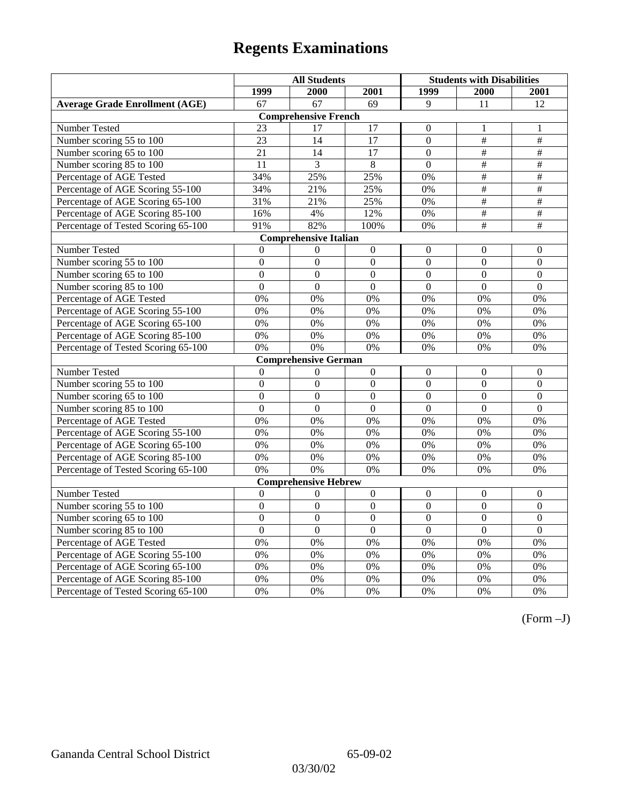|                                       | <b>All Students</b> |                              |                  | <b>Students with Disabilities</b> |                  |                  |
|---------------------------------------|---------------------|------------------------------|------------------|-----------------------------------|------------------|------------------|
|                                       | 1999                | 2000                         | 2001             | 1999                              | 2000             | 2001             |
| <b>Average Grade Enrollment (AGE)</b> | 67                  | 67                           | 69               | 9                                 | 11               | 12               |
|                                       |                     | <b>Comprehensive French</b>  |                  |                                   |                  |                  |
| <b>Number Tested</b>                  | 23                  | 17                           | 17               | $\theta$                          | 1                | 1                |
| Number scoring 55 to 100              | $\overline{23}$     | 14                           | $\overline{17}$  | $\overline{0}$                    | $\#$             | $\#$             |
| Number scoring 65 to 100              | 21                  | 14                           | 17               | $\mathbf{0}$                      | $\#$             | $\#$             |
| Number scoring 85 to 100              | 11                  | $\overline{3}$               | 8                | $\overline{0}$                    | #                | #                |
| Percentage of AGE Tested              | 34%                 | 25%                          | 25%              | 0%                                | $\#$             | $\overline{+}$   |
| Percentage of AGE Scoring 55-100      | 34%                 | 21%                          | 25%              | 0%                                | $\#$             | $\#$             |
| Percentage of AGE Scoring 65-100      | 31%                 | 21%                          | 25%              | 0%                                | #                | $\#$             |
| Percentage of AGE Scoring 85-100      | 16%                 | 4%                           | 12%              | $0\%$                             | $\frac{1}{2}$    | $\frac{1}{2}$    |
| Percentage of Tested Scoring 65-100   | 91%                 | 82%                          | 100%             | 0%                                | #                | $\overline{\#}$  |
|                                       |                     | <b>Comprehensive Italian</b> |                  |                                   |                  |                  |
| Number Tested                         | $\Omega$            | $\boldsymbol{0}$             | $\boldsymbol{0}$ | $\boldsymbol{0}$                  | $\Omega$         | $\Omega$         |
| Number scoring 55 to 100              | $\boldsymbol{0}$    | $\boldsymbol{0}$             | $\boldsymbol{0}$ | $\boldsymbol{0}$                  | $\boldsymbol{0}$ | $\boldsymbol{0}$ |
| Number scoring 65 to 100              | $\mathbf{0}$        | $\mathbf{0}$                 | $\overline{0}$   | $\overline{0}$                    | $\overline{0}$   | $\mathbf{0}$     |
| Number scoring 85 to 100              | $\overline{0}$      | $\overline{0}$               | $\overline{0}$   | $\overline{0}$                    | $\overline{0}$   | $\overline{0}$   |
| Percentage of AGE Tested              | 0%                  | 0%                           | 0%               | 0%                                | 0%               | 0%               |
| Percentage of AGE Scoring 55-100      | 0%                  | 0%                           | 0%               | 0%                                | 0%               | 0%               |
| Percentage of AGE Scoring 65-100      | 0%                  | 0%                           | 0%               | 0%                                | 0%               | 0%               |
| Percentage of AGE Scoring 85-100      | 0%                  | 0%                           | 0%               | 0%                                | 0%               | 0%               |
| Percentage of Tested Scoring 65-100   | 0%                  | 0%                           | 0%               | 0%                                | 0%               | 0%               |
|                                       |                     | <b>Comprehensive German</b>  |                  |                                   |                  |                  |
| Number Tested                         | $\boldsymbol{0}$    | $\mathbf{0}$                 | $\boldsymbol{0}$ | $\mathbf{0}$                      | $\boldsymbol{0}$ | $\mathbf{0}$     |
| Number scoring 55 to 100              | $\mathbf{0}$        | $\overline{0}$               | $\overline{0}$   | $\boldsymbol{0}$                  | $\boldsymbol{0}$ | $\theta$         |
| Number scoring 65 to 100              | $\overline{0}$      | $\overline{0}$               | $\overline{0}$   | $\overline{0}$                    | $\Omega$         | $\overline{0}$   |
| Number scoring 85 to 100              | $\overline{0}$      | $\overline{0}$               | $\overline{0}$   | $\overline{0}$                    | $\overline{0}$   | $\mathbf{0}$     |
| Percentage of AGE Tested              | 0%                  | 0%                           | 0%               | 0%                                | 0%               | 0%               |
| Percentage of AGE Scoring 55-100      | 0%                  | 0%                           | 0%               | 0%                                | 0%               | 0%               |
| Percentage of AGE Scoring 65-100      | 0%                  | 0%                           | 0%               | 0%                                | 0%               | 0%               |
| Percentage of AGE Scoring 85-100      | 0%                  | 0%                           | 0%               | 0%                                | 0%               | 0%               |
| Percentage of Tested Scoring 65-100   | 0%                  | 0%                           | 0%               | 0%                                | 0%               | 0%               |
|                                       |                     | <b>Comprehensive Hebrew</b>  |                  |                                   |                  |                  |
| Number Tested                         | $\boldsymbol{0}$    | $\Omega$                     | $\boldsymbol{0}$ | $\boldsymbol{0}$                  | $\boldsymbol{0}$ | $\boldsymbol{0}$ |
| Number scoring 55 to 100              | $\overline{0}$      | $\overline{0}$               | $\overline{0}$   | $\overline{0}$                    | $\overline{0}$   | $\overline{0}$   |
| Number scoring 65 to 100              | $\mathbf{0}$        | $\boldsymbol{0}$             | $\mathbf{0}$     | $\boldsymbol{0}$                  | $\boldsymbol{0}$ | $\boldsymbol{0}$ |
| Number scoring 85 to 100              | $\overline{0}$      | $\overline{0}$               | $\overline{0}$   | $\overline{0}$                    | $\overline{0}$   | $\overline{0}$   |
| Percentage of AGE Tested              | 0%                  | 0%                           | 0%               | 0%                                | 0%               | 0%               |
| Percentage of AGE Scoring 55-100      | 0%                  | 0%                           | 0%               | 0%                                | 0%               | 0%               |
| Percentage of AGE Scoring 65-100      | 0%                  | 0%                           | 0%               | 0%                                | 0%               | 0%               |
| Percentage of AGE Scoring 85-100      | 0%                  | 0%                           | $0\%$            | 0%                                | 0%               | 0%               |
| Percentage of Tested Scoring 65-100   | 0%                  | 0%                           | 0%               | 0%                                | 0%               | 0%               |

(Form –J)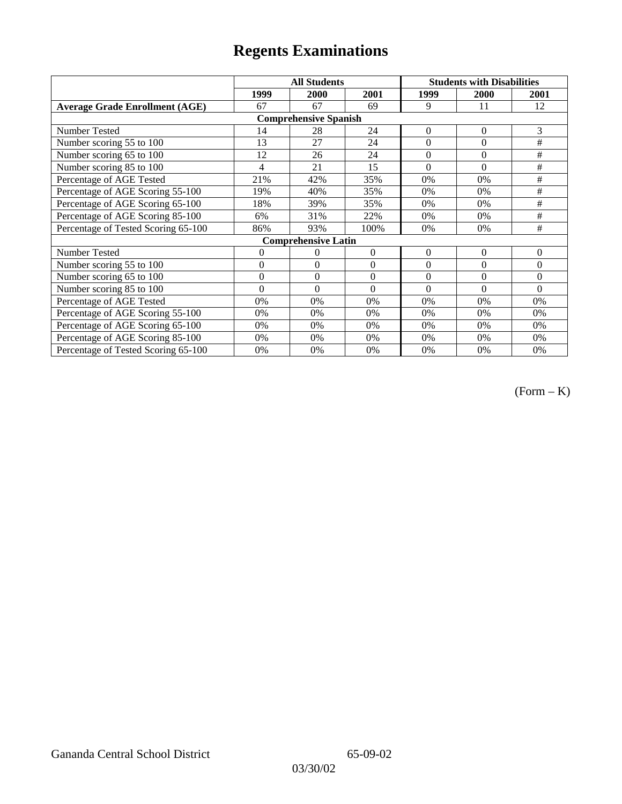|                                       |                | <b>All Students</b>        |                  | <b>Students with Disabilities</b> |                |          |  |  |
|---------------------------------------|----------------|----------------------------|------------------|-----------------------------------|----------------|----------|--|--|
|                                       | 1999           | 2000                       | 2001             | 1999                              | 2000           | 2001     |  |  |
| <b>Average Grade Enrollment (AGE)</b> | 67             | 67                         | 69               | 9                                 | 11             | 12       |  |  |
| <b>Comprehensive Spanish</b>          |                |                            |                  |                                   |                |          |  |  |
| <b>Number Tested</b>                  | 14             | 28                         | 24               | $\overline{0}$                    | $\overline{0}$ | 3        |  |  |
| Number scoring 55 to 100              | 13             | 27                         | 24               | $\theta$                          | $\theta$       | #        |  |  |
| Number scoring 65 to 100              | 12             | 26                         | 24               | $\overline{0}$                    | $\overline{0}$ | $\#$     |  |  |
| Number scoring 85 to 100              | 4              | 21                         | 15               | $\theta$                          | $\theta$       | $\#$     |  |  |
| Percentage of AGE Tested              | 21%            | 42%                        | 35%              | 0%                                | 0%             | #        |  |  |
| Percentage of AGE Scoring 55-100      | 19%            | 40%                        | 35%              | 0%                                | 0%             | $\#$     |  |  |
| Percentage of AGE Scoring 65-100      | 18%            | 39%                        | 35%              | 0%                                | 0%             | #        |  |  |
| Percentage of AGE Scoring 85-100      | 6%             | 31%                        | 22%              | 0%                                | 0%             | #        |  |  |
| Percentage of Tested Scoring 65-100   | 86%            | 93%                        | 100%             | 0%                                | 0%             | #        |  |  |
|                                       |                | <b>Comprehensive Latin</b> |                  |                                   |                |          |  |  |
| Number Tested                         | $\overline{0}$ | 0                          | $\theta$         | $\overline{0}$                    | $\overline{0}$ | $\theta$ |  |  |
| Number scoring 55 to 100              | $\mathbf{0}$   | $\theta$                   | $\boldsymbol{0}$ | $\overline{0}$                    | $\theta$       | $\Omega$ |  |  |
| Number scoring 65 to 100              | $\mathbf{0}$   | $\theta$                   | $\theta$         | $\theta$                          | $\theta$       | $\Omega$ |  |  |
| Number scoring 85 to 100              | $\theta$       | $\theta$                   | $\theta$         | $\theta$                          | $\Omega$       | $\Omega$ |  |  |
| Percentage of AGE Tested              | 0%             | 0%                         | 0%               | 0%                                | 0%             | 0%       |  |  |
| Percentage of AGE Scoring 55-100      | 0%             | 0%                         | 0%               | 0%                                | 0%             | 0%       |  |  |
| Percentage of AGE Scoring 65-100      | 0%             | 0%                         | 0%               | 0%                                | 0%             | 0%       |  |  |
| Percentage of AGE Scoring 85-100      | 0%             | 0%                         | 0%               | $0\%$                             | 0%             | $0\%$    |  |  |
| Percentage of Tested Scoring 65-100   | 0%             | 0%                         | 0%               | 0%                                | 0%             | 0%       |  |  |

(Form – K)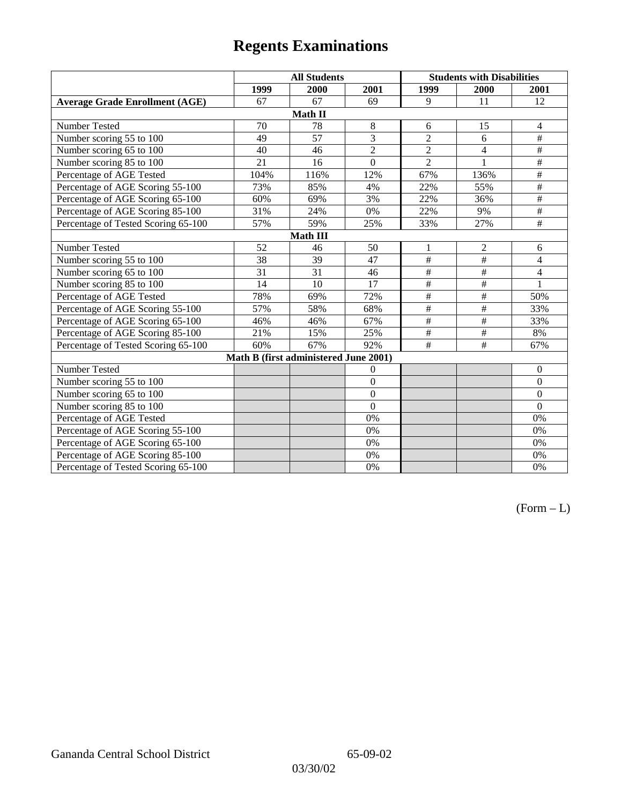|                                       | <b>All Students</b> |                                       |                | <b>Students with Disabilities</b> |                          |                 |  |  |
|---------------------------------------|---------------------|---------------------------------------|----------------|-----------------------------------|--------------------------|-----------------|--|--|
|                                       | 1999                | 2000                                  | 2001           | 1999                              | 2000                     | 2001            |  |  |
| <b>Average Grade Enrollment (AGE)</b> | 67                  | 67                                    | 69             | 9                                 | 11                       | 12              |  |  |
|                                       |                     | Math II                               |                |                                   |                          |                 |  |  |
| Number Tested                         | 70                  | 78                                    | $\,8\,$        | 6                                 | 15                       | $\overline{4}$  |  |  |
| Number scoring 55 to 100              | 49                  | 57                                    | $\overline{3}$ | $\overline{2}$                    | 6                        | $\#$            |  |  |
| Number scoring 65 to 100              | 40                  | 46                                    | $\overline{c}$ | $\overline{2}$                    | 4                        | $\#$            |  |  |
| Number scoring 85 to 100              | 21                  | 16                                    | $\overline{0}$ | $\overline{2}$                    | 1                        | $\overline{\#}$ |  |  |
| Percentage of AGE Tested              | 104%                | 116%                                  | 12%            | 67%                               | 136%                     | $\#$            |  |  |
| Percentage of AGE Scoring 55-100      | 73%                 | 85%                                   | 4%             | 22%                               | 55%                      | $\overline{\#}$ |  |  |
| Percentage of AGE Scoring 65-100      | 60%                 | 69%                                   | 3%             | 22%                               | 36%                      | $\#$            |  |  |
| Percentage of AGE Scoring 85-100      | 31%                 | 24%                                   | 0%             | 22%                               | 9%                       | #               |  |  |
| Percentage of Tested Scoring 65-100   | 57%                 | 59%                                   | 25%            | 33%                               | 27%                      | $\#$            |  |  |
| <b>Math III</b>                       |                     |                                       |                |                                   |                          |                 |  |  |
| Number Tested                         | 52                  | 46                                    | 50             | 1                                 | $\overline{2}$           | 6               |  |  |
| Number scoring 55 to 100              | $\overline{38}$     | $\overline{39}$                       | 47             | $\overline{\#}$                   | #                        | $\overline{4}$  |  |  |
| Number scoring 65 to 100              | 31                  | 31                                    | 46             | $\#$                              | $\#$                     | 4               |  |  |
| Number scoring 85 to 100              | 14                  | 10                                    | 17             | $\overline{\#}$                   | #                        | $\mathbf{1}$    |  |  |
| Percentage of AGE Tested              | 78%                 | 69%                                   | 72%            | $\#$                              | $\#$                     | 50%             |  |  |
| Percentage of AGE Scoring 55-100      | 57%                 | 58%                                   | 68%            | $\overline{\#}$                   | $\overline{+}$           | 33%             |  |  |
| Percentage of AGE Scoring 65-100      | 46%                 | 46%                                   | 67%            | $\frac{1}{2}$                     | $\overline{\#}$          | 33%             |  |  |
| Percentage of AGE Scoring 85-100      | 21%                 | 15%                                   | 25%            | $\overline{\#}$                   | $\overline{\overline{}}$ | 8%              |  |  |
| Percentage of Tested Scoring 65-100   | 60%                 | 67%                                   | 92%            | $\overline{+}$                    | #                        | 67%             |  |  |
|                                       |                     | Math B (first administered June 2001) |                |                                   |                          |                 |  |  |
| Number Tested                         |                     |                                       | $\theta$       |                                   |                          | $\mathbf{0}$    |  |  |
| Number scoring 55 to 100              |                     |                                       | $\overline{0}$ |                                   |                          | $\mathbf{0}$    |  |  |
| Number scoring 65 to 100              |                     |                                       | $\overline{0}$ |                                   |                          | $\mathbf{0}$    |  |  |
| Number scoring 85 to 100              |                     |                                       | $\theta$       |                                   |                          | $\mathbf{0}$    |  |  |
| Percentage of AGE Tested              |                     |                                       | 0%             |                                   |                          | 0%              |  |  |
| Percentage of AGE Scoring 55-100      |                     |                                       | 0%             |                                   |                          | 0%              |  |  |
| Percentage of AGE Scoring 65-100      |                     |                                       | 0%             |                                   |                          | 0%              |  |  |
| Percentage of AGE Scoring 85-100      |                     |                                       | 0%             |                                   |                          | 0%              |  |  |
| Percentage of Tested Scoring 65-100   |                     |                                       | 0%             |                                   |                          | 0%              |  |  |

 $(Form - L)$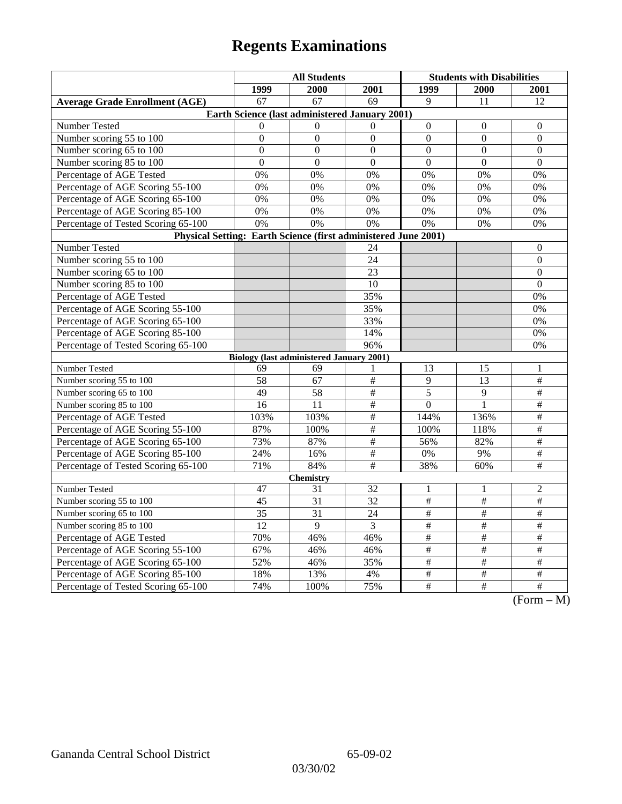|                                                                | <b>All Students</b> |                                                 |                         | <b>Students with Disabilities</b> |                 |                                                |
|----------------------------------------------------------------|---------------------|-------------------------------------------------|-------------------------|-----------------------------------|-----------------|------------------------------------------------|
|                                                                | 1999                | 2000                                            | 2001                    | 1999                              | <b>2000</b>     | 2001                                           |
| <b>Average Grade Enrollment (AGE)</b>                          | $\overline{67}$     | $\overline{67}$                                 | 69                      | $\mathbf{Q}$                      | 11              | 12                                             |
|                                                                |                     | Earth Science (last administered January 2001)  |                         |                                   |                 |                                                |
| Number Tested                                                  | $\Omega$            | $\Omega$                                        | $\Omega$                | $\mathbf{0}$                      | $\theta$        | $\theta$                                       |
| Number scoring 55 to 100                                       | $\boldsymbol{0}$    | $\mathbf{0}$                                    | $\boldsymbol{0}$        | $\overline{0}$                    | $\overline{0}$  | $\overline{0}$                                 |
| Number scoring 65 to 100                                       | $\overline{0}$      | $\overline{0}$                                  | $\overline{0}$          | $\overline{0}$                    | $\overline{0}$  | $\mathbf{0}$                                   |
| Number scoring 85 to 100                                       | $\overline{0}$      | $\overline{0}$                                  | $\overline{0}$          | $\overline{0}$                    | $\overline{0}$  | $\overline{0}$                                 |
| Percentage of AGE Tested                                       | 0%                  | 0%                                              | 0%                      | 0%                                | 0%              | 0%                                             |
| Percentage of AGE Scoring 55-100                               | 0%                  | 0%                                              | 0%                      | 0%                                | 0%              | 0%                                             |
| Percentage of AGE Scoring 65-100                               | 0%                  | 0%                                              | 0%                      | 0%                                | 0%              | 0%                                             |
| Percentage of AGE Scoring 85-100                               | 0%                  | 0%                                              | 0%                      | 0%                                | 0%              | 0%                                             |
| Percentage of Tested Scoring 65-100                            | 0%                  | 0%                                              | 0%                      | 0%                                | 0%              | 0%                                             |
| Physical Setting: Earth Science (first administered June 2001) |                     |                                                 |                         |                                   |                 |                                                |
| Number Tested                                                  |                     |                                                 | 24                      |                                   |                 | $\boldsymbol{0}$                               |
| Number scoring 55 to 100                                       |                     |                                                 | 24                      |                                   |                 | $\mathbf{0}$                                   |
| Number scoring 65 to 100                                       |                     |                                                 | 23                      |                                   |                 | $\overline{0}$                                 |
| Number scoring 85 to 100                                       |                     |                                                 | 10                      |                                   |                 | $\boldsymbol{0}$                               |
| Percentage of AGE Tested                                       |                     |                                                 | 35%                     |                                   |                 | 0%                                             |
| Percentage of AGE Scoring 55-100                               |                     |                                                 | 35%                     |                                   |                 | 0%                                             |
| Percentage of AGE Scoring 65-100                               |                     |                                                 | 33%                     |                                   |                 | 0%                                             |
| Percentage of AGE Scoring 85-100                               |                     |                                                 | 14%                     |                                   |                 | 0%                                             |
| Percentage of Tested Scoring 65-100                            |                     |                                                 | 96%                     |                                   |                 | 0%                                             |
|                                                                |                     | <b>Biology (last administered January 2001)</b> |                         |                                   |                 |                                                |
| Number Tested                                                  | 69                  | 69                                              | 1                       | 13                                | 15              | 1                                              |
| Number scoring 55 to 100                                       | 58                  | 67                                              | $\#$                    | 9                                 | 13              | $\#$                                           |
| Number scoring 65 to 100                                       | 49                  | 58                                              | $\overline{\#}$         | 5                                 | $\overline{9}$  | $\overline{\#}$                                |
| Number scoring 85 to 100                                       | 16                  | 11                                              | #                       | $\boldsymbol{0}$                  | $\mathbf{1}$    | $\overline{\#}$                                |
| Percentage of AGE Tested                                       | 103%                | 103%                                            | $\#$                    | 144%                              | 136%            | $\#$                                           |
| Percentage of AGE Scoring 55-100                               | 87%                 | 100%                                            | #                       | 100%                              | 118%            | $\overline{\ddot{}}$                           |
| Percentage of AGE Scoring 65-100                               | 73%                 | 87%                                             | $\#$                    | 56%                               | 82%             | $\#$                                           |
| Percentage of AGE Scoring 85-100                               | 24%                 | 16%                                             | $\overline{\ddot{\pi}}$ | $0\%$                             | 9%              | $\overline{\ddot{}}$                           |
| Percentage of Tested Scoring 65-100                            | 71%                 | 84%                                             | $\overline{\#}$         | 38%                               | 60%             | $\overline{\#}$                                |
|                                                                |                     | <b>Chemistry</b>                                |                         |                                   |                 |                                                |
| Number Tested                                                  | 47                  | 31                                              | 32                      | 1                                 | 1               | $\mathbf{2}$                                   |
| Number scoring 55 to 100                                       | 45                  | 31                                              | $\overline{32}$         | $\frac{1}{2}$                     | $\frac{1}{2}$   | $\frac{1}{2}$                                  |
| Number scoring 65 to 100                                       | 35                  | 31                                              | 24                      | $\#$                              | $\#$            | $\overline{\#}$                                |
| Number scoring 85 to 100                                       | 12                  | 9                                               | 3                       | $\#$                              | $\#$            | $\#$                                           |
| Percentage of AGE Tested                                       | 70%                 | 46%                                             | 46%                     | $\#$                              | $\#$            | $\#$                                           |
| Percentage of AGE Scoring 55-100                               | 67%                 | 46%                                             | 46%                     | $\overline{\#}$                   | $\overline{\#}$ | $\overline{\#}$                                |
| Percentage of AGE Scoring 65-100                               | 52%                 | 46%                                             | 35%                     | $\frac{1}{2}$                     | $\frac{1}{2}$   | $\overline{\#}$                                |
| Percentage of AGE Scoring 85-100                               | 18%                 | 13%                                             | 4%                      | $\#$                              | $\#$            | $\#$                                           |
| Percentage of Tested Scoring 65-100                            | 74%                 | 100%                                            | 75%                     | $\#$                              | $\#$            | $\overline{\#}$<br>$\sqrt{12}$<br>$\mathbf{A}$ |

(Form – M)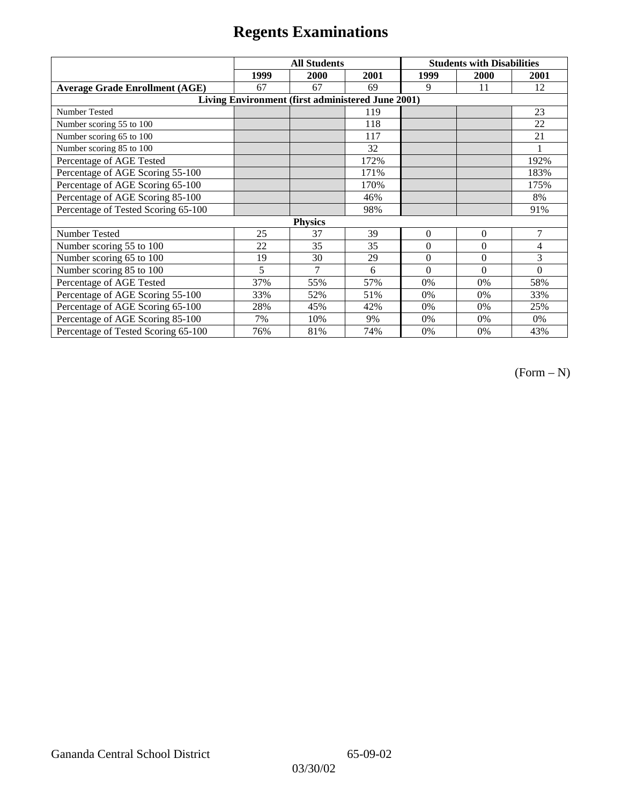|                                       | <b>All Students</b> |                                                   |      | <b>Students with Disabilities</b> |          |                |
|---------------------------------------|---------------------|---------------------------------------------------|------|-----------------------------------|----------|----------------|
|                                       | 1999                | 2000                                              | 2001 | 1999                              | 2000     | 2001           |
| <b>Average Grade Enrollment (AGE)</b> | 67                  | 67                                                | 69   | 9                                 | 11       | 12             |
|                                       |                     | Living Environment (first administered June 2001) |      |                                   |          |                |
| <b>Number Tested</b>                  |                     |                                                   | 119  |                                   |          | 23             |
| Number scoring 55 to 100              |                     |                                                   | 118  |                                   |          | 22             |
| Number scoring 65 to 100              |                     |                                                   | 117  |                                   |          | 21             |
| Number scoring 85 to 100              |                     |                                                   | 32   |                                   |          |                |
| Percentage of AGE Tested              |                     |                                                   | 172% |                                   |          | 192%           |
| Percentage of AGE Scoring 55-100      |                     |                                                   | 171% |                                   |          | 183%           |
| Percentage of AGE Scoring 65-100      |                     |                                                   | 170% |                                   |          | 175%           |
| Percentage of AGE Scoring 85-100      |                     |                                                   | 46%  |                                   |          | 8%             |
| Percentage of Tested Scoring 65-100   |                     |                                                   | 98%  |                                   |          | 91%            |
|                                       |                     | <b>Physics</b>                                    |      |                                   |          |                |
| Number Tested                         | 25                  | 37                                                | 39   | $\Omega$                          | $\Omega$ | $\overline{7}$ |
| Number scoring 55 to 100              | 22                  | 35                                                | 35   | $\Omega$                          | $\theta$ | 4              |
| Number scoring 65 to 100              | 19                  | 30                                                | 29   | $\mathbf{0}$                      | $\Omega$ | 3              |
| Number scoring 85 to 100              | 5                   | $\overline{7}$                                    | 6    | $\Omega$                          | $\Omega$ | $\Omega$       |
| Percentage of AGE Tested              | 37%                 | 55%                                               | 57%  | 0%                                | 0%       | 58%            |
| Percentage of AGE Scoring 55-100      | 33%                 | 52%                                               | 51%  | $0\%$                             | 0%       | 33%            |
| Percentage of AGE Scoring 65-100      | 28%                 | 45%                                               | 42%  | $0\%$                             | $0\%$    | 25%            |
| Percentage of AGE Scoring 85-100      | 7%                  | 10%                                               | 9%   | 0%                                | 0%       | 0%             |
| Percentage of Tested Scoring 65-100   | 76%                 | 81%                                               | 74%  | 0%                                | 0%       | 43%            |

 $(Form - N)$